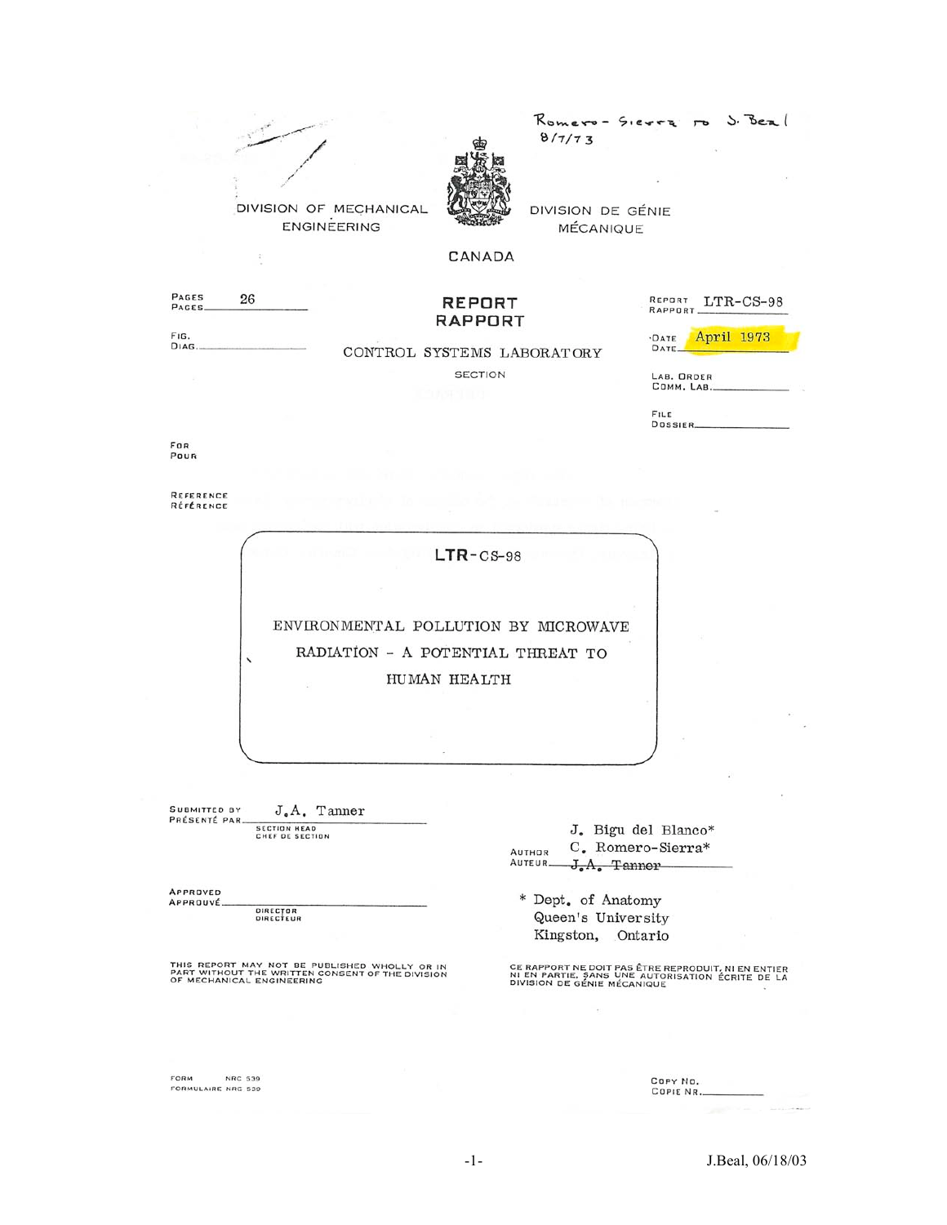

Romero- Sierra J. Beal  $8/7/73$ 

DIVISION DE GÉNIE MÉCANIQUE

CANADA

PAGES<br>PAGES 26

#### **REPORT RAPPORT**

REPORT LTR-CS-98 RAPPORT.

FIG. DIAG.

CONTROL SYSTEMS LABORATORY **SECTION** 

April 1973 ·DATE<br>DATE.

LAB. ORDER<br>COMM. LAB.

FILE DOSSIER.

For<br>Pour

REFERENCE RÉFÉRENCE

 $LTR-CS-98$ 

ENVIRONMENTAL POLLUTION BY MICROWAVE RADIATION - A POTENTIAL THREAT TO HUMAN HEALTH

SUBMITTED BY J.A. Tanner PRÉSENTÉ PAR. SECTION HEAD<br>CHEF DE SECTION

 $\overline{\phantom{0}}$ 

APPROVED APPROUVÉ

DIRECTOR<br>DIRECTEUR

THIS REPORT MAY NOT BE PUBLISHED WHOLLY OR IN<br>PART WITHOUT THE WRITTEN CONSENT OF THE DIVISION<br>OF MECHANICAL ENGINEERING

FORM **NRC 539** FORMULAIRE NRC 539

| J. Bigu del Blanco* |
|---------------------|
| C. Romero-Sierra*   |
| AUTEUR-J.A. Tanner  |
|                     |

\* Dept. of Anatomy Queen's University Kingston, Ontario

CE RAPPORT NE DOIT PAS ÊTRE REPRODUIT, NI EN ENTIER<br>NI EN PARTIE, SANS UNE AUTORISATION ÉCRITE DE LA<br>DIVISION DE GÉNIE MÉCANIQUE

COPY NO.<br>COPIE NR..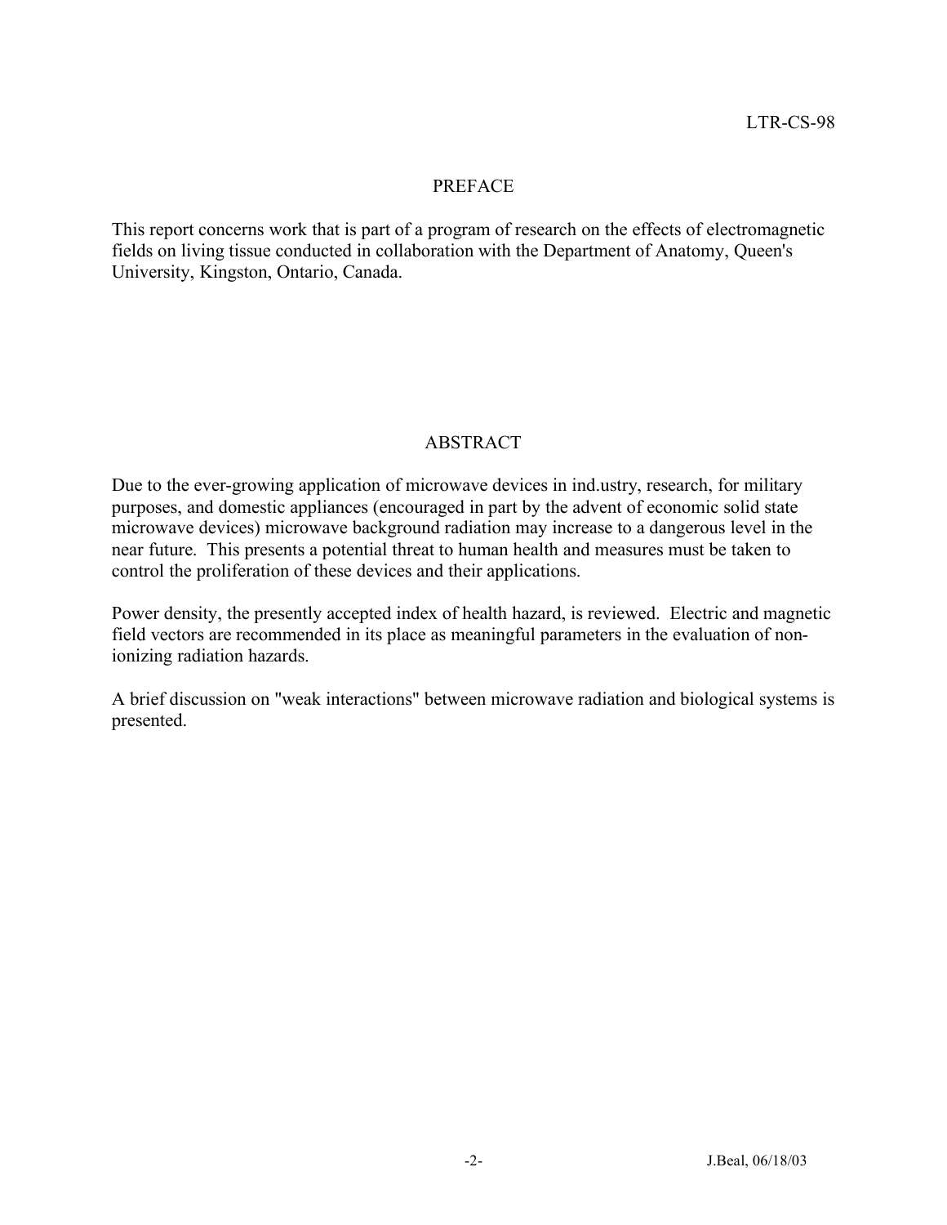#### PREFACE

This report concerns work that is part of a program of research on the effects of electromagnetic fields on living tissue conducted in collaboration with the Department of Anatomy, Queen's University, Kingston, Ontario, Canada.

# ABSTRACT

Due to the ever-growing application of microwave devices in ind.ustry, research, for military purposes, and domestic appliances (encouraged in part by the advent of economic solid state microwave devices) microwave background radiation may increase to a dangerous level in the near future. This presents a potential threat to human health and measures must be taken to control the proliferation of these devices and their applications.

Power density, the presently accepted index of health hazard, is reviewed. Electric and magnetic field vectors are recommended in its place as meaningful parameters in the evaluation of nonionizing radiation hazards.

A brief discussion on "weak interactions" between microwave radiation and biological systems is presented.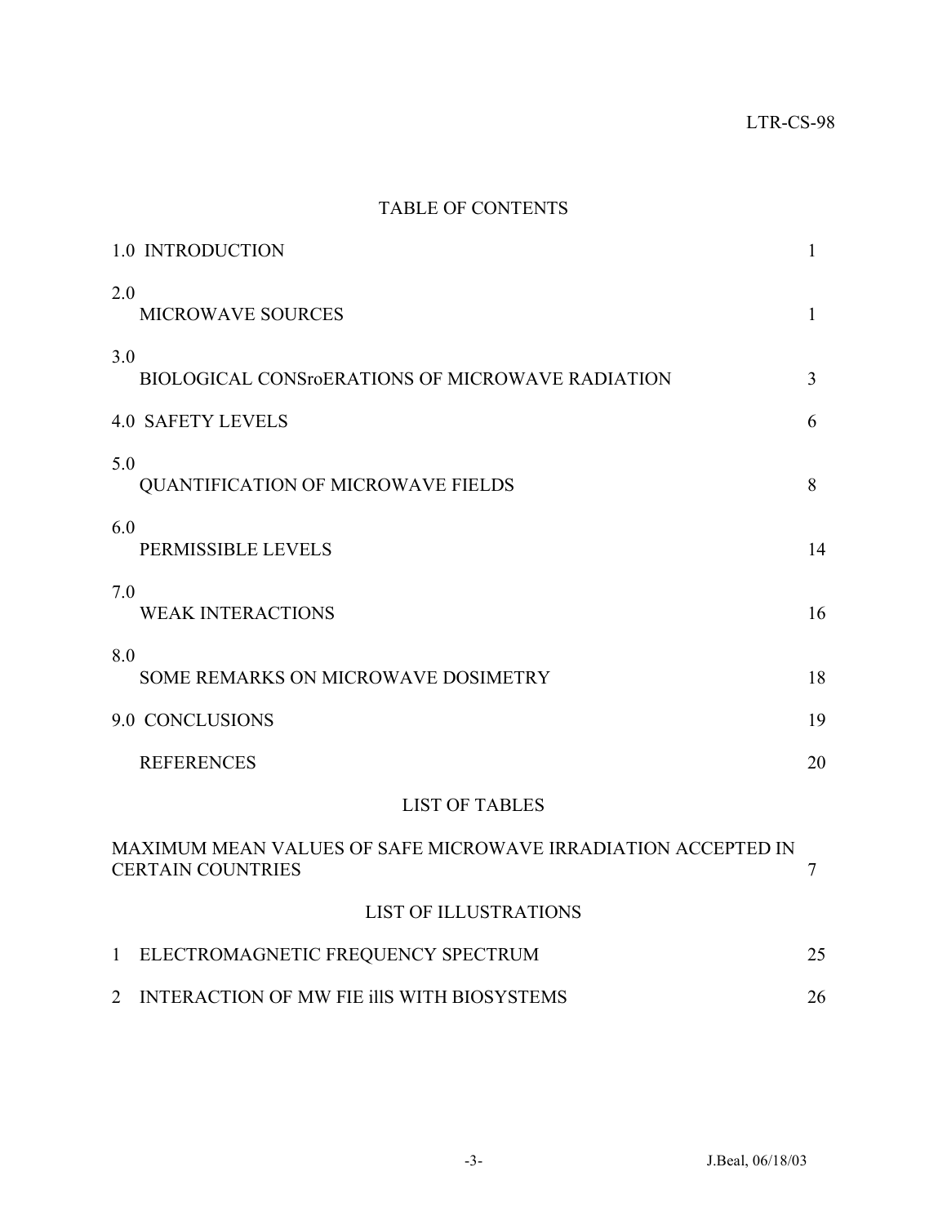# TABLE OF CONTENTS

|                | 1.0 INTRODUCTION                                                                          | 1            |
|----------------|-------------------------------------------------------------------------------------------|--------------|
| 2.0            | <b>MICROWAVE SOURCES</b>                                                                  | $\mathbf{1}$ |
| 3.0            | <b>BIOLOGICAL CONSroERATIONS OF MICROWAVE RADIATION</b>                                   | 3            |
|                | <b>4.0 SAFETY LEVELS</b>                                                                  | 6            |
| 5.0            | <b>QUANTIFICATION OF MICROWAVE FIELDS</b>                                                 | 8            |
| 6.0            | PERMISSIBLE LEVELS                                                                        | 14           |
| 7.0            | <b>WEAK INTERACTIONS</b>                                                                  | 16           |
| 8.0            | SOME REMARKS ON MICROWAVE DOSIMETRY                                                       | 18           |
|                | 9.0 CONCLUSIONS                                                                           | 19           |
|                | <b>REFERENCES</b>                                                                         | 20           |
|                | <b>LIST OF TABLES</b>                                                                     |              |
|                | MAXIMUM MEAN VALUES OF SAFE MICROWAVE IRRADIATION ACCEPTED IN<br><b>CERTAIN COUNTRIES</b> | 7            |
|                | <b>LIST OF ILLUSTRATIONS</b>                                                              |              |
| $\mathbf{1}$   | ELECTROMAGNETIC FREQUENCY SPECTRUM                                                        | 25           |
| $\overline{2}$ | INTERACTION OF MW FIE IIIS WITH BIOSYSTEMS                                                | 26           |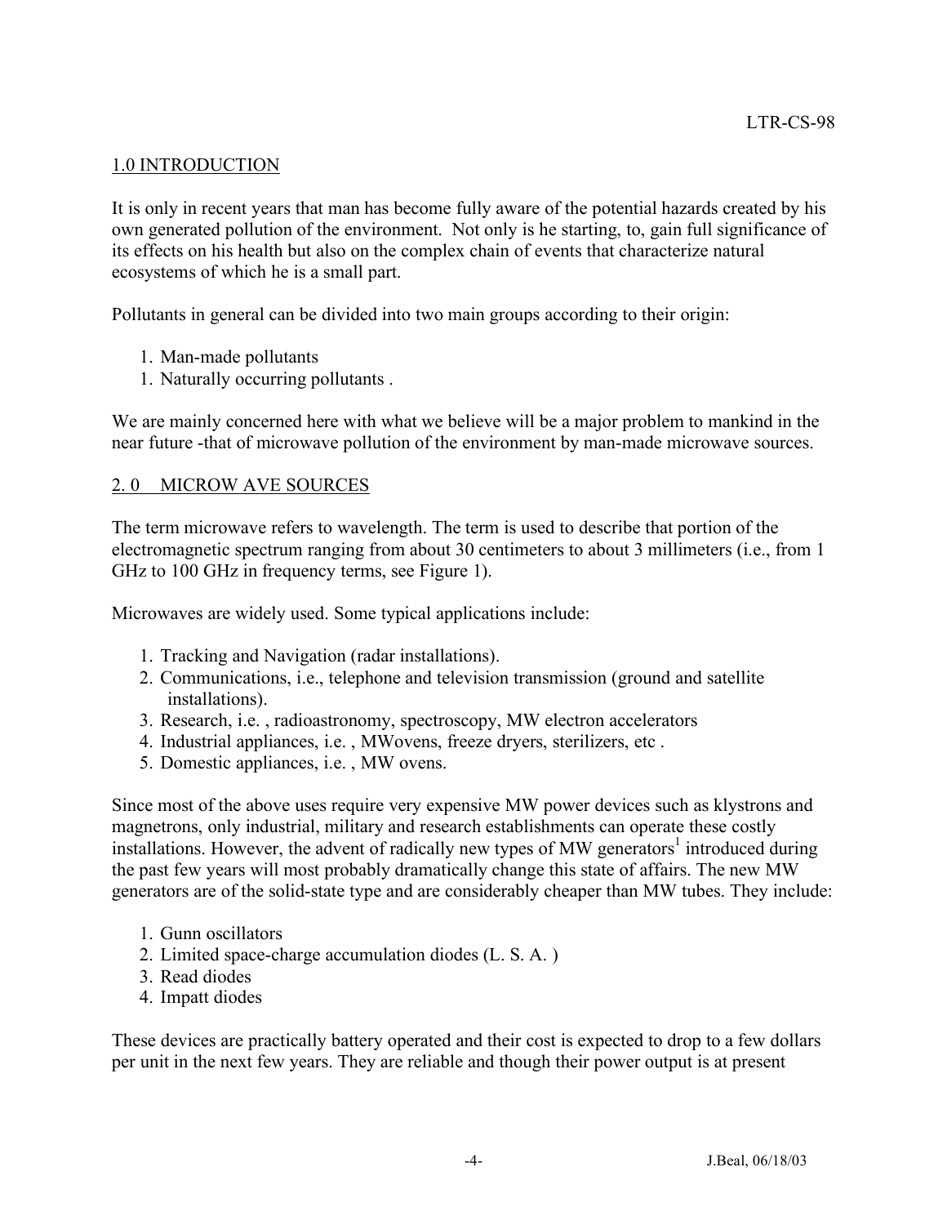### 1.0 INTRODUCTION

It is only in recent years that man has become fully aware of the potential hazards created by his own generated pollution of the environment. Not only is he starting, to, gain full significance of its effects on his health but also on the complex chain of events that characterize natural ecosystems of which he is a small part.

Pollutants in general can be divided into two main groups according to their origin:

- 1. Man-made pollutants
- 1. Naturally occurring pollutants .

We are mainly concerned here with what we believe will be a major problem to mankind in the near future -that of microwave pollution of the environment by man-made microwave sources.

#### 2. 0 MICROW AVE SOURCES

The term microwave refers to wavelength. The term is used to describe that portion of the electromagnetic spectrum ranging from about 30 centimeters to about 3 millimeters (i.e., from 1 GHz to 100 GHz in frequency terms, see Figure 1).

Microwaves are widely used. Some typical applications include:

- 1. Tracking and Navigation (radar installations).
- 2. Communications, i.e., telephone and television transmission (ground and satellite installations).
- 3. Research, i.e. , radioastronomy, spectroscopy, MW electron accelerators
- 4. Industrial appliances, i.e. , MWovens, freeze dryers, sterilizers, etc .
- 5. Domestic appliances, i.e. , MW ovens.

Since most of the above uses require very expensive MW power devices such as klystrons and magnetrons, only industrial, military and research establishments can operate these costly installations. However, the advent of radically new types of MW generators<sup>1</sup> introduced during the past few years will most probably dramatically change this state of affairs. The new MW generators are of the solid-state type and are considerably cheaper than MW tubes. They include:

- 1. Gunn oscillators
- 2. Limited space-charge accumulation diodes (L. S. A. )
- 3. Read diodes
- 4. Impatt diodes

These devices are practically battery operated and their cost is expected to drop to a few dollars per unit in the next few years. They are reliable and though their power output is at present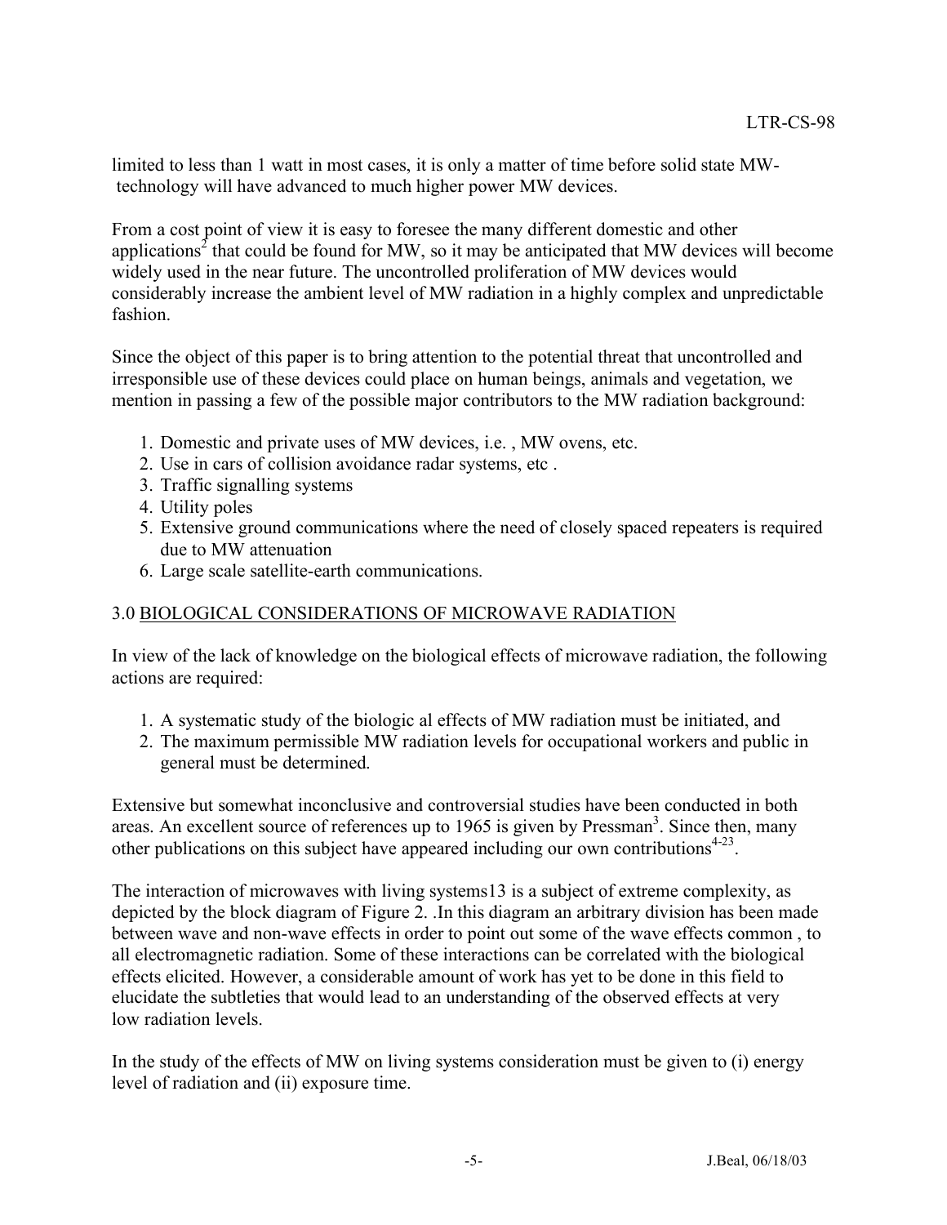limited to less than 1 watt in most cases, it is only a matter of time before solid state MWtechnology will have advanced to much higher power MW devices.

From a cost point of view it is easy to foresee the many different domestic and other applications<sup>2</sup> that could be found for MW, so it may be anticipated that MW devices will become widely used in the near future. The uncontrolled proliferation of MW devices would considerably increase the ambient level of MW radiation in a highly complex and unpredictable fashion.

Since the object of this paper is to bring attention to the potential threat that uncontrolled and irresponsible use of these devices could place on human beings, animals and vegetation, we mention in passing a few of the possible major contributors to the MW radiation background:

- 1. Domestic and private uses of MW devices, i.e. , MW ovens, etc.
- 2. Use in cars of collision avoidance radar systems, etc .
- 3. Traffic signalling systems
- 4. Utility poles
- 5. Extensive ground communications where the need of closely spaced repeaters is required due to MW attenuation
- 6. Large scale satellite-earth communications.

## 3.0 BIOLOGICAL CONSIDERATIONS OF MICROWAVE RADIATION

In view of the lack of knowledge on the biological effects of microwave radiation, the following actions are required:

- 1. A systematic study of the biologic al effects of MW radiation must be initiated, and
- 2. The maximum permissible MW radiation levels for occupational workers and public in general must be determined.

Extensive but somewhat inconclusive and controversial studies have been conducted in both areas. An excellent source of references up to  $1965$  is given by Pressman<sup>3</sup>. Since then, many other publications on this subject have appeared including our own contributions $4-23$ .

The interaction of microwaves with living systems13 is a subject of extreme complexity, as depicted by the block diagram of Figure 2. .In this diagram an arbitrary division has been made between wave and non-wave effects in order to point out some of the wave effects common , to all electromagnetic radiation. Some of these interactions can be correlated with the biological effects elicited. However, a considerable amount of work has yet to be done in this field to elucidate the subtleties that would lead to an understanding of the observed effects at very low radiation levels.

In the study of the effects of MW on living systems consideration must be given to (i) energy level of radiation and (ii) exposure time.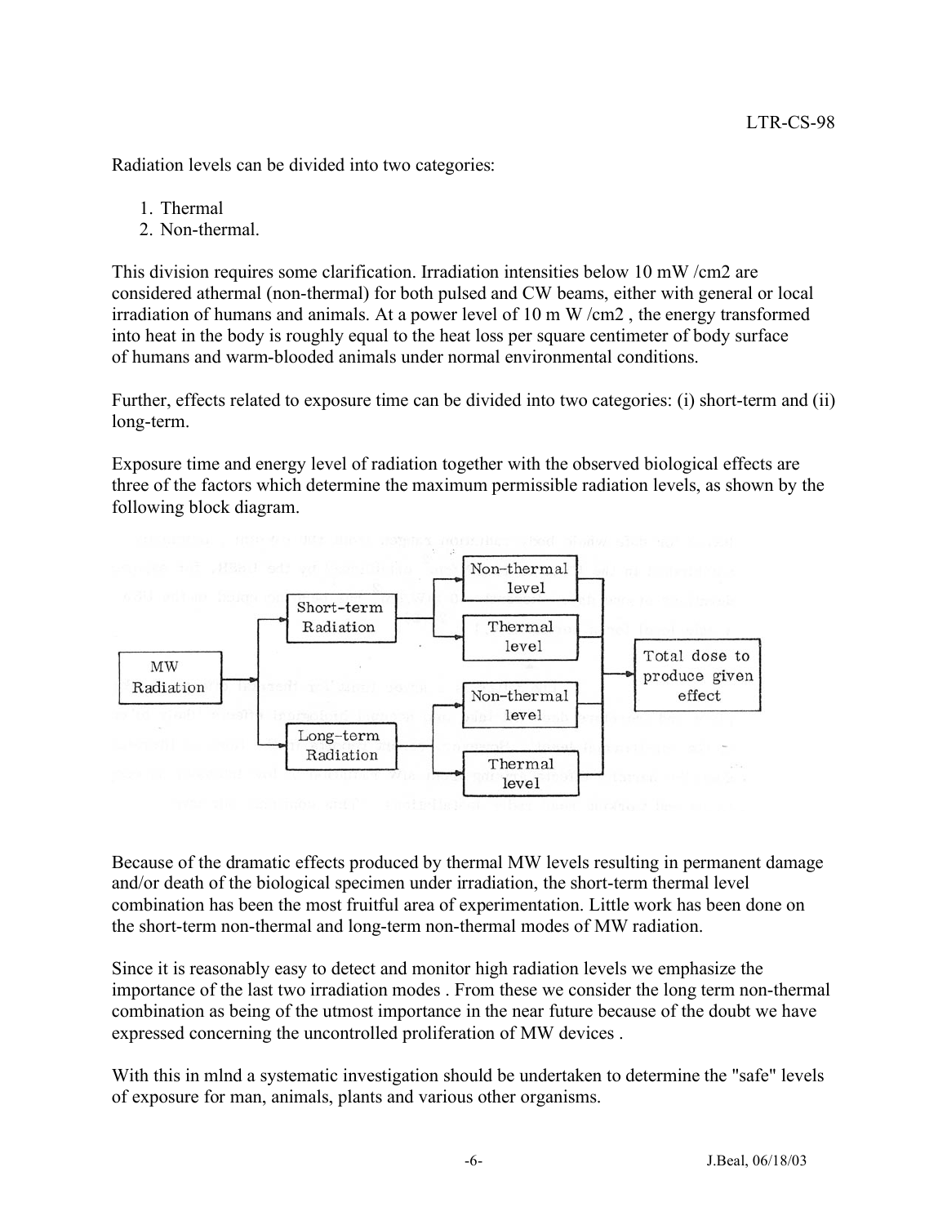Radiation levels can be divided into two categories:

1. Thermal

2. Non-thermal.

This division requires some clarification. Irradiation intensities below 10 mW /cm2 are considered athermal (non-thermal) for both pulsed and CW beams, either with general or local irradiation of humans and animals. At a power level of 10 m W /cm2 , the energy transformed into heat in the body is roughly equal to the heat loss per square centimeter of body surface of humans and warm-blooded animals under normal environmental conditions.

Further, effects related to exposure time can be divided into two categories: (i) short-term and (ii) long-term.

Exposure time and energy level of radiation together with the observed biological effects are three of the factors which determine the maximum permissible radiation levels, as shown by the following block diagram.



Because of the dramatic effects produced by thermal MW levels resulting in permanent damage and/or death of the biological specimen under irradiation, the short-term thermal level combination has been the most fruitful area of experimentation. Little work has been done on the short-term non-thermal and long-term non-thermal modes of MW radiation.

Since it is reasonably easy to detect and monitor high radiation levels we emphasize the importance of the last two irradiation modes . From these we consider the long term non-thermal combination as being of the utmost importance in the near future because of the doubt we have expressed concerning the uncontrolled proliferation of MW devices .

With this in mlnd a systematic investigation should be undertaken to determine the "safe" levels of exposure for man, animals, plants and various other organisms.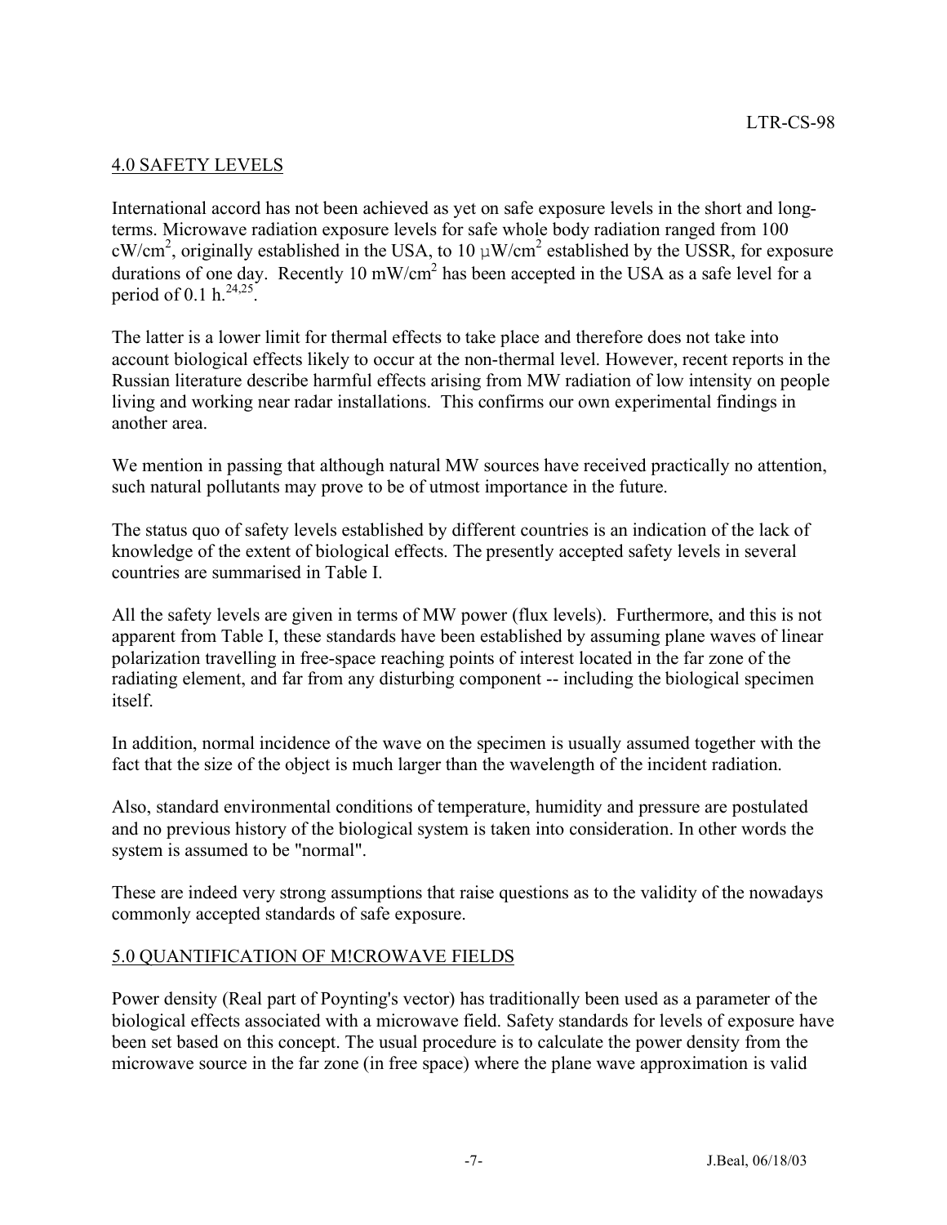## 4.0 SAFETY LEVELS

International accord has not been achieved as yet on safe exposure levels in the short and longterms. Microwave radiation exposure levels for safe whole body radiation ranged from 100 cW/cm<sup>2</sup>, originally established in the USA, to 10  $\mu$ W/cm<sup>2</sup> established by the USSR, for exposure durations of one day. Recently 10 mW/cm<sup>2</sup> has been accepted in the USA as a safe level for a period of 0.1 h. $^{24,25}$ .

The latter is a lower limit for thermal effects to take place and therefore does not take into account biological effects likely to occur at the non-thermal level. However, recent reports in the Russian literature describe harmful effects arising from MW radiation of low intensity on people living and working near radar installations. This confirms our own experimental findings in another area.

We mention in passing that although natural MW sources have received practically no attention, such natural pollutants may prove to be of utmost importance in the future.

The status quo of safety levels established by different countries is an indication of the lack of knowledge of the extent of biological effects. The presently accepted safety levels in several countries are summarised in Table I.

All the safety levels are given in terms of MW power (flux levels). Furthermore, and this is not apparent from Table I, these standards have been established by assuming plane waves of linear polarization travelling in free-space reaching points of interest located in the far zone of the radiating element, and far from any disturbing component -- including the biological specimen itself.

In addition, normal incidence of the wave on the specimen is usually assumed together with the fact that the size of the object is much larger than the wavelength of the incident radiation.

Also, standard environmental conditions of temperature, humidity and pressure are postulated and no previous history of the biological system is taken into consideration. In other words the system is assumed to be "normal".

These are indeed very strong assumptions that raise questions as to the validity of the nowadays commonly accepted standards of safe exposure.

#### 5.0 QUANTIFICATION OF M!CROWAVE FIELDS

Power density (Real part of Poynting's vector) has traditionally been used as a parameter of the biological effects associated with a microwave field. Safety standards for levels of exposure have been set based on this concept. The usual procedure is to calculate the power density from the microwave source in the far zone (in free space) where the plane wave approximation is valid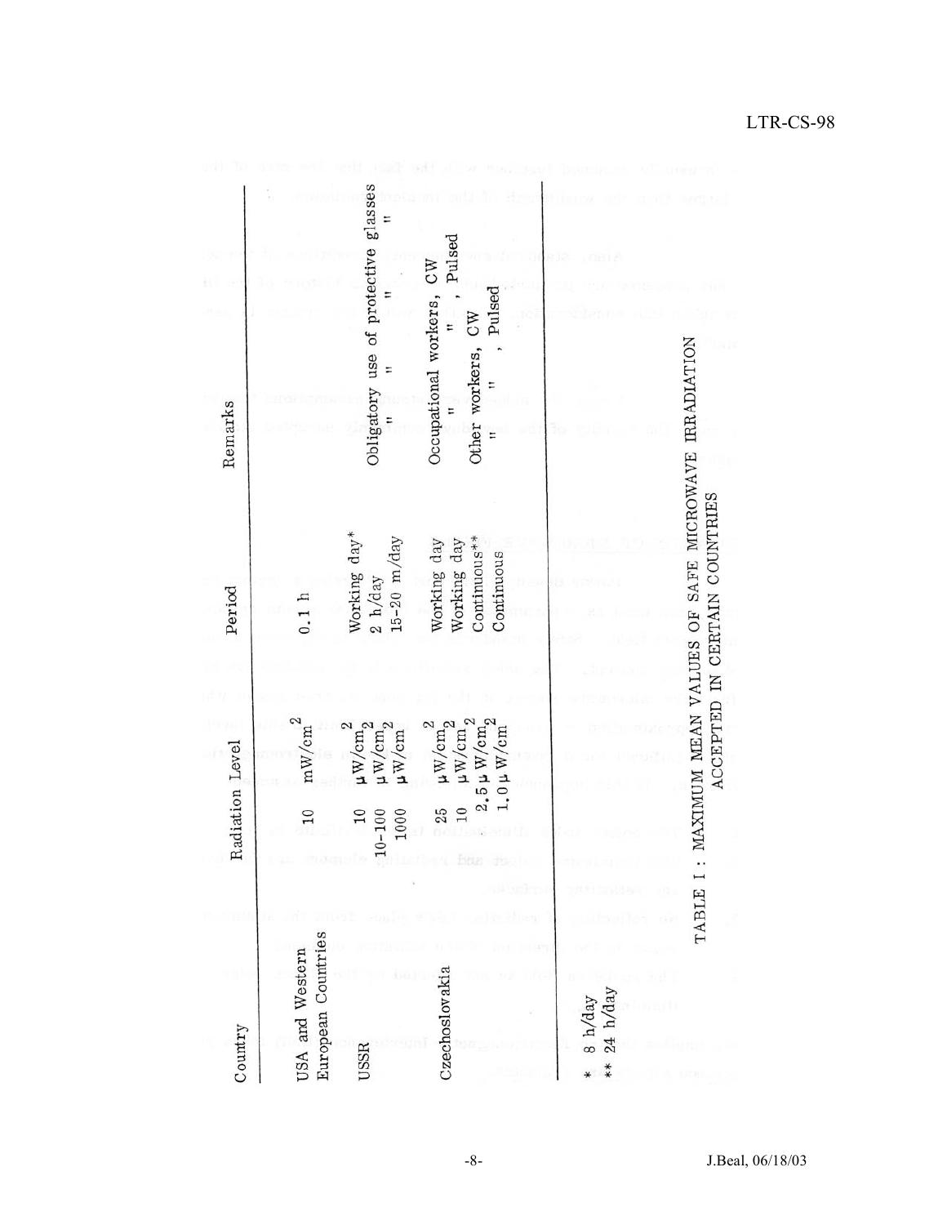| Country                                                                   | Radiation Level                                                                                                                                          | Period                                                                             | Remarks                                                           |
|---------------------------------------------------------------------------|----------------------------------------------------------------------------------------------------------------------------------------------------------|------------------------------------------------------------------------------------|-------------------------------------------------------------------|
| European Countries<br>USA and Western                                     | $\mathrm{mW/cm}^2$<br>10                                                                                                                                 | 0.1 h                                                                              |                                                                   |
| USSR                                                                      | $\begin{array}{l} \mu \mathrm{W/cm}_2^2 \\ \mu \mathrm{W/cm}_2^2 \end{array}$<br>$\mu$ W/cm<br>$10 - 100$<br>1000<br>10                                  | Working day*<br>$15-20$ m/day<br>2 h/day                                           | Obligatory use of protective glasses<br>E                         |
| Czechoslovakia                                                            | $\begin{array}{c} 2.5 \, \upmu \, \hbox{W/cm}^2_2 \\ 1.0 \, \upmu \, \hbox{W/cm}^2 \end{array}$<br>$\mu$ W/cm $_2^-$<br>$\mu\text{W/cm}_2^2$<br>10<br>25 | $Continuous**$<br>Working day<br>Working day<br>Continuous                         | Pulsed<br>Occupational workers, CW<br>Pulsed<br>Other workers, CW |
|                                                                           |                                                                                                                                                          |                                                                                    |                                                                   |
| $\begin{array}{c} 8 \text{ h/day} \\ 24 \text{ h/day} \end{array}$<br>$*$ |                                                                                                                                                          |                                                                                    |                                                                   |
| TABLE                                                                     |                                                                                                                                                          | MAXIMUM MEAN VALUES OF SAFE MICROWAVE IRRADIATION<br>ACCEPTED IN CERTAIN COUNTRIES |                                                                   |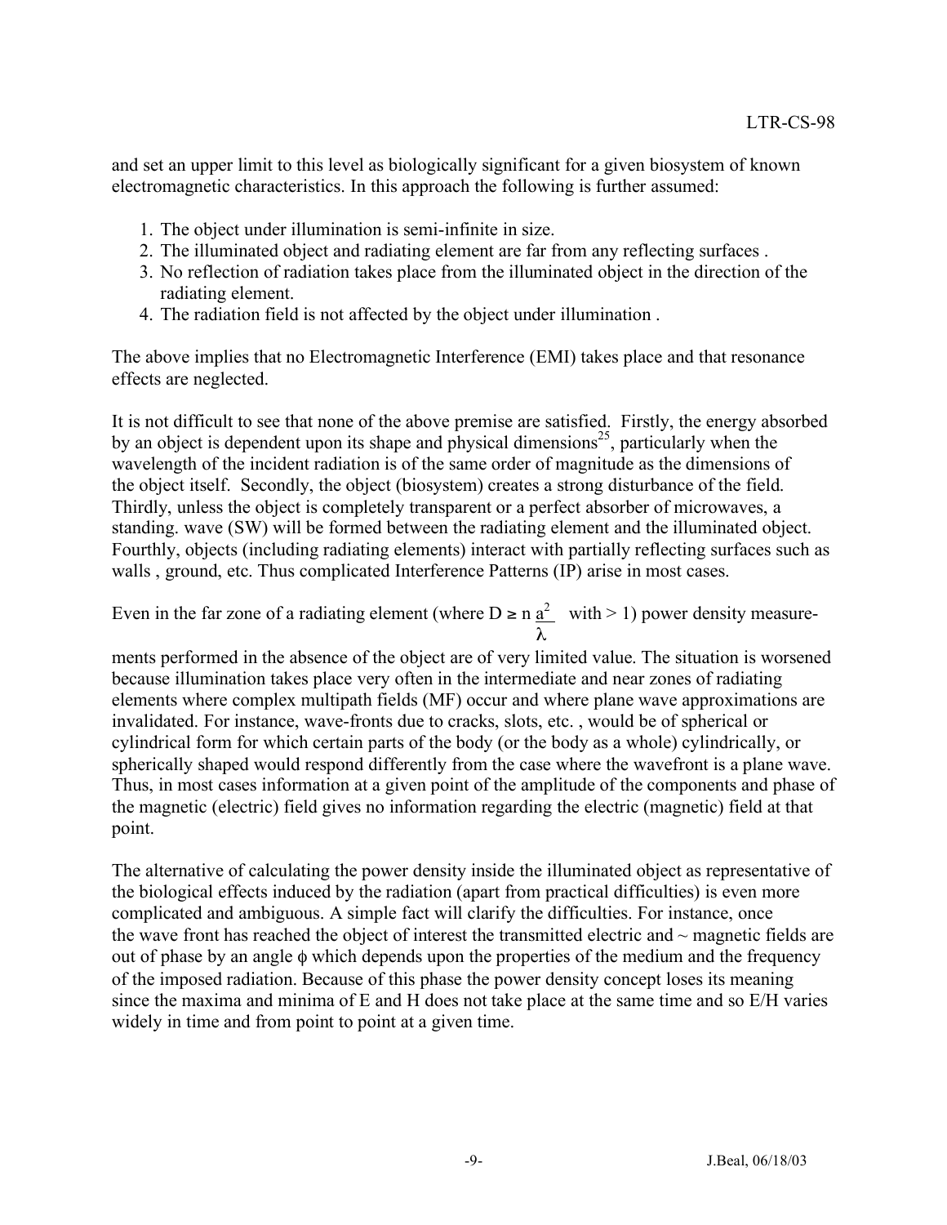and set an upper limit to this level as biologically significant for a given biosystem of known electromagnetic characteristics. In this approach the following is further assumed:

- 1. The object under illumination is semi-infinite in size.
- 2. The illuminated object and radiating element are far from any reflecting surfaces .
- 3. No reflection of radiation takes place from the illuminated object in the direction of the radiating element.
- 4. The radiation field is not affected by the object under illumination .

The above implies that no Electromagnetic Interference (EMI) takes place and that resonance effects are neglected.

It is not difficult to see that none of the above premise are satisfied. Firstly, the energy absorbed by an object is dependent upon its shape and physical dimensions<sup>25</sup>, particularly when the wavelength of the incident radiation is of the same order of magnitude as the dimensions of the object itself. Secondly, the object (biosystem) creates a strong disturbance of the field. Thirdly, unless the object is completely transparent or a perfect absorber of microwaves, a standing. wave (SW) will be formed between the radiating element and the illuminated object. Fourthly, objects (including radiating elements) interact with partially reflecting surfaces such as walls, ground, etc. Thus complicated Interference Patterns (IP) arise in most cases.

Even in the far zone of a radiating element (where  $D \ge n \frac{a^2}{a^2}$  with > 1) power density measureλ

ments performed in the absence of the object are of very limited value. The situation is worsened because illumination takes place very often in the intermediate and near zones of radiating elements where complex multipath fields (MF) occur and where plane wave approximations are invalidated. For instance, wave-fronts due to cracks, slots, etc. , would be of spherical or cylindrical form for which certain parts of the body (or the body as a whole) cylindrically, or spherically shaped would respond differently from the case where the wavefront is a plane wave. Thus, in most cases information at a given point of the amplitude of the components and phase of the magnetic (electric) field gives no information regarding the electric (magnetic) field at that point.

The alternative of calculating the power density inside the illuminated object as representative of the biological effects induced by the radiation (apart from practical difficulties) is even more complicated and ambiguous. A simple fact will clarify the difficulties. For instance, once the wave front has reached the object of interest the transmitted electric and  $\sim$  magnetic fields are out of phase by an angle φ which depends upon the properties of the medium and the frequency of the imposed radiation. Because of this phase the power density concept loses its meaning since the maxima and minima of E and H does not take place at the same time and so E/H varies widely in time and from point to point at a given time.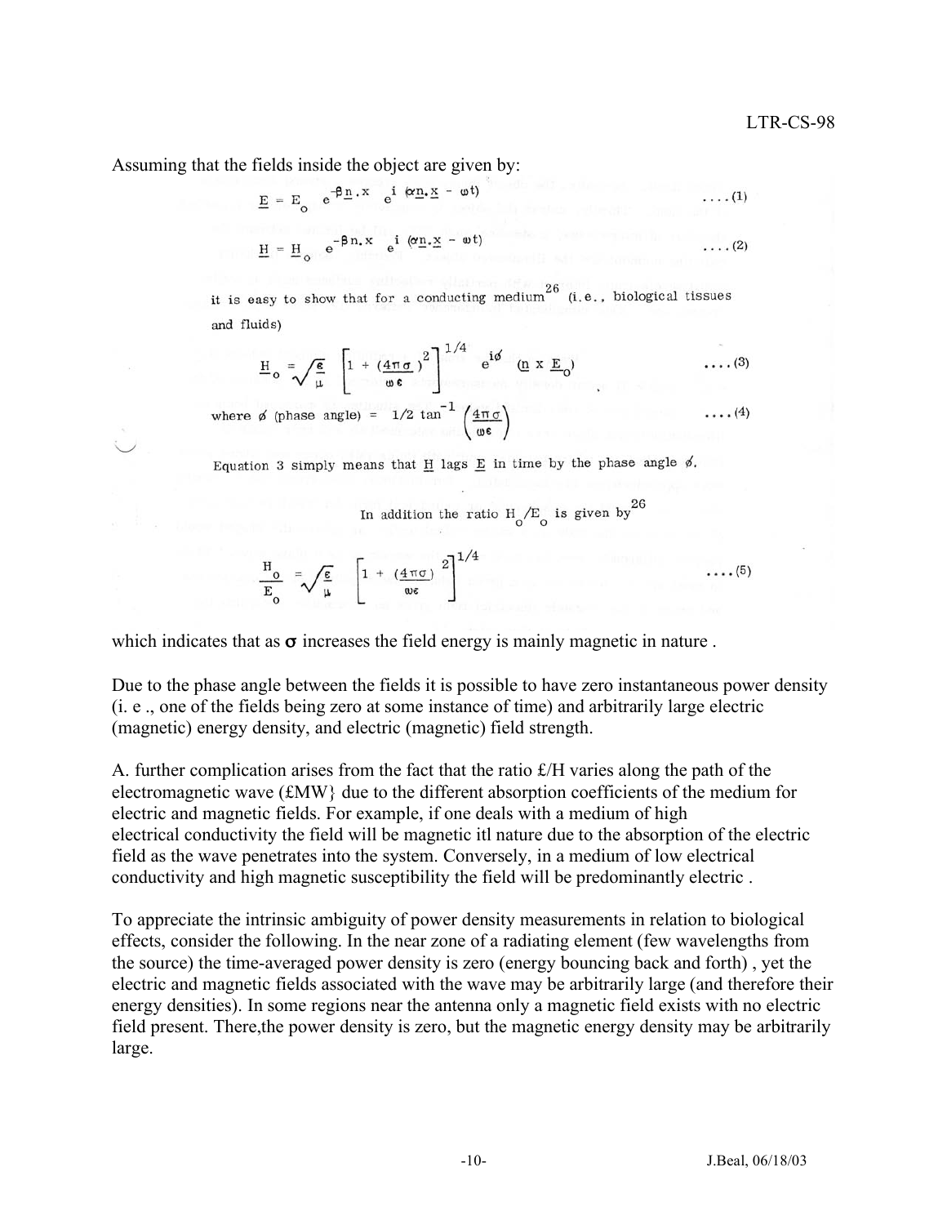Assuming that the fields inside the object are given by:

$$
\underline{E} = E_0 e^{-\beta \underline{n} \cdot X} e^{i (\alpha \underline{n} \cdot \underline{x} - \omega t)}
$$
...(1)

$$
\underline{H} = \underline{H}_o \quad e^{-\beta n.X} \quad e^{i (\alpha \underline{n} \cdot \underline{x} - \omega t)} \qquad \qquad \dots (2)
$$

it is easy to show that for a conducting medium<sup>26</sup> (i.e., biological tissues and fluids)

$$
\underline{H}_{o} = \sqrt{\frac{\epsilon}{\mu}} \left[ 1 + \left( \frac{4\pi\sigma}{\omega \epsilon} \right)^{2} \right]^{1/4} e^{i\phi} \quad (\underline{n} \times \underline{E}_{o}) \quad \dots (3)
$$

where  $\phi$  (phase angle) = 1/2 tan<sup>-1</sup>  $\left(\frac{4\pi\sigma}{\omega \epsilon}\right)$ 

Equation 3 simply means that  $\underline{H}$  lags  $\underline{E}$  in time by the phase angle  $\phi$ .

In addition the ratio  $H_0/E_0$  is given by  $^{26}$ 

$$
\frac{H_o}{E_o} = \sqrt{\frac{\epsilon}{\mu}} \left[ 1 + \left( \frac{4 \pi \sigma}{\omega \epsilon} \right)^2 \right]^{1/4} \cdots
$$

which indicates that as  $\sigma$  increases the field energy is mainly magnetic in nature.

Due to the phase angle between the fields it is possible to have zero instantaneous power density (i. e ., one of the fields being zero at some instance of time) and arbitrarily large electric (magnetic) energy density, and electric (magnetic) field strength.

A. further complication arises from the fact that the ratio  $\mathcal{L}/H$  varies along the path of the electromagnetic wave (£MW} due to the different absorption coefficients of the medium for electric and magnetic fields. For example, if one deals with a medium of high electrical conductivity the field will be magnetic itl nature due to the absorption of the electric field as the wave penetrates into the system. Conversely, in a medium of low electrical conductivity and high magnetic susceptibility the field will be predominantly electric .

To appreciate the intrinsic ambiguity of power density measurements in relation to biological effects, consider the following. In the near zone of a radiating element (few wavelengths from the source) the time-averaged power density is zero (energy bouncing back and forth) , yet the electric and magnetic fields associated with the wave may be arbitrarily large (and therefore their energy densities). In some regions near the antenna only a magnetic field exists with no electric field present. There,the power density is zero, but the magnetic energy density may be arbitrarily large.

 $(5)$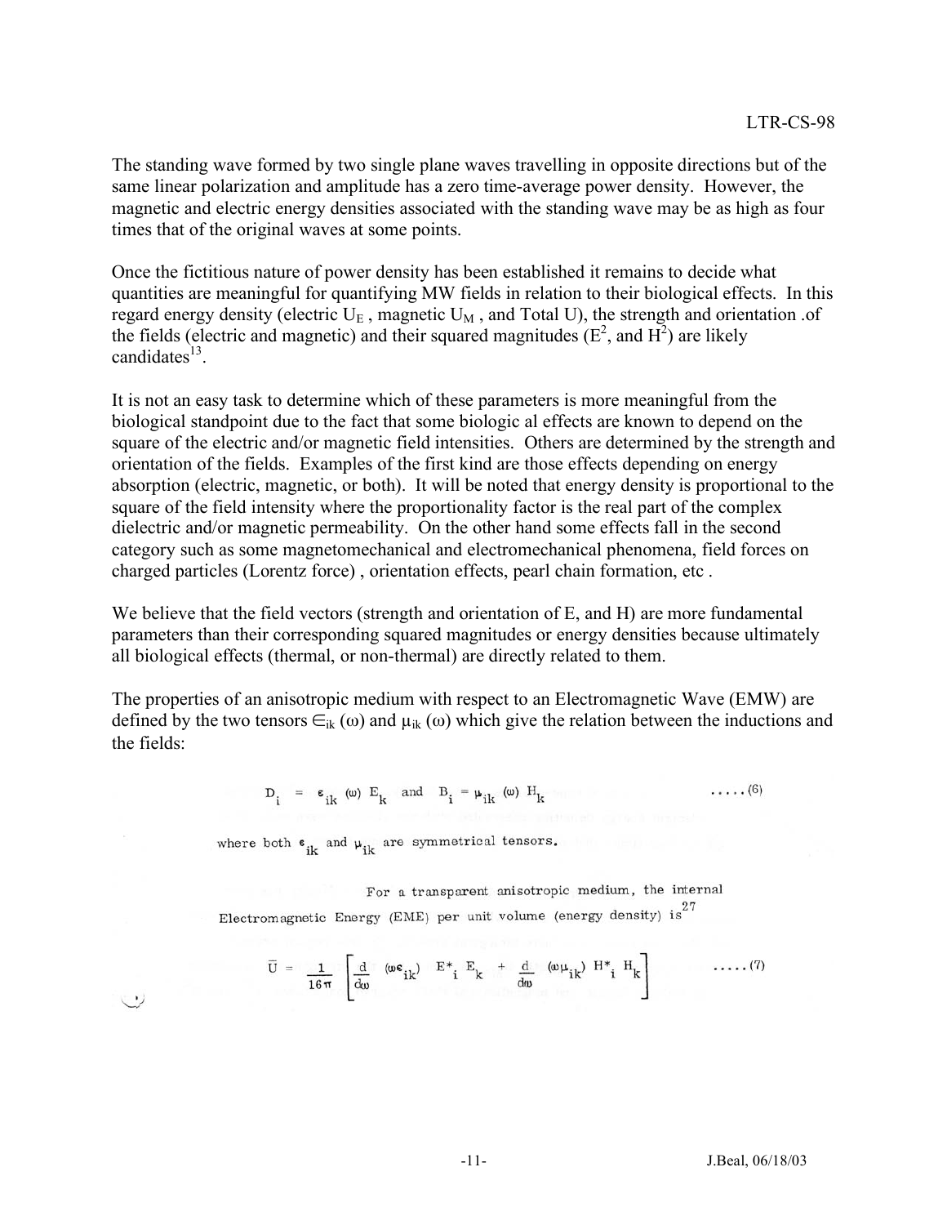The standing wave formed by two single plane waves travelling in opposite directions but of the same linear polarization and amplitude has a zero time-average power density. However, the magnetic and electric energy densities associated with the standing wave may be as high as four times that of the original waves at some points.

Once the fictitious nature of power density has been established it remains to decide what quantities are meaningful for quantifying MW fields in relation to their biological effects. In this regard energy density (electric  $U_E$ , magnetic  $U_M$ , and Total U), the strength and orientation of the fields (electric and magnetic) and their squared magnitudes  $(E^2)$ , and  $H^2$ ) are likely candidates<sup>13</sup>.

It is not an easy task to determine which of these parameters is more meaningful from the biological standpoint due to the fact that some biologic al effects are known to depend on the square of the electric and/or magnetic field intensities. Others are determined by the strength and orientation of the fields. Examples of the first kind are those effects depending on energy absorption (electric, magnetic, or both). It will be noted that energy density is proportional to the square of the field intensity where the proportionality factor is the real part of the complex dielectric and/or magnetic permeability. On the other hand some effects fall in the second category such as some magnetomechanical and electromechanical phenomena, field forces on charged particles (Lorentz force) , orientation effects, pearl chain formation, etc .

We believe that the field vectors (strength and orientation of E, and H) are more fundamental parameters than their corresponding squared magnitudes or energy densities because ultimately all biological effects (thermal, or non-thermal) are directly related to them.

The properties of an anisotropic medium with respect to an Electromagnetic Wave (EMW) are defined by the two tensors  $\epsilon_{ik}(\omega)$  and  $\mu_{ik}(\omega)$  which give the relation between the inductions and the fields:

> $D_i = \epsilon_{ik}$  (w)  $E_k$  and  $B_i = \mu_{ik}$  (w)  $H_k$  $\ldots$  . (6)

where both  $\varepsilon_{ik}$  and  $\mu_{ik}$  are symmetrical tensors.

For a transparent anisotropic medium, the internal Electromagnetic Energy (EME) per unit volume (energy density)  $is^{27}$ 

$$
\overline{U} = \frac{1}{16\pi} \left[ \frac{d}{d\omega} \quad (\omega \varepsilon_{ik}) \quad E^*_{i} \quad E_k \quad + \quad \frac{d}{d\omega} \quad (\omega \mu_{ik}) \quad H^*_{i} \quad H_k \right] \tag{7}
$$

いり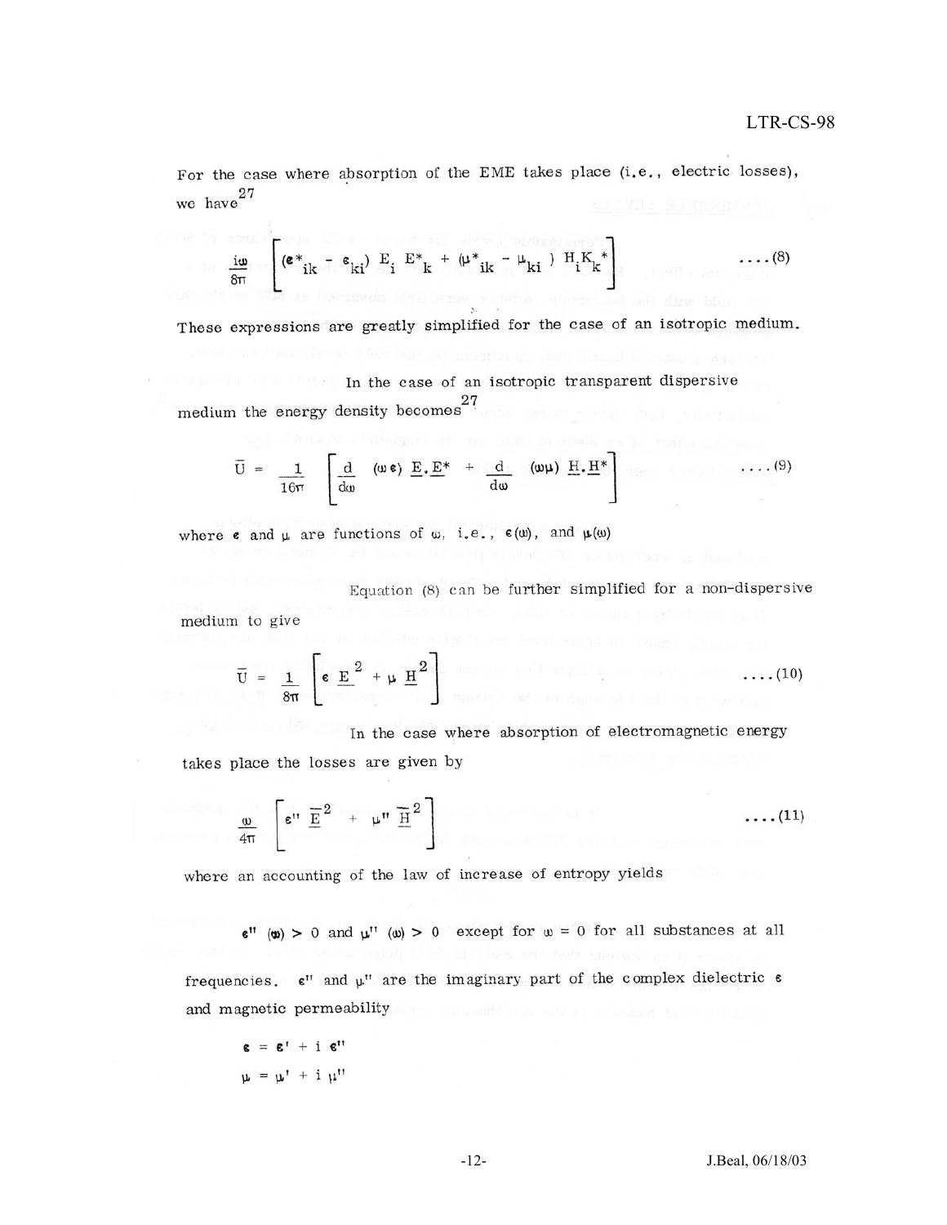For the case where absorption of the EME takes place (i.e., electric losses), we have  $27$ 

$$
\frac{\mathbf{i}\omega}{8\pi}\left[\left(\mathbf{e}^*_{ik} - \mathbf{e}_{ki}\right) \mathbf{E}_i \mathbf{E}_k^* + \left(\mu^*_{ik} - \mu_{ki}\right) \mathbf{H}_i \mathbf{K}_k^*\right] \dots (8)
$$

These expressions are greatly simplified for the case of an isotropic medium.

In the case of an isotropic transparent dispersive medium the energy density becomes<sup>27</sup>

$$
\overline{U} = \frac{1}{16\pi} \left[ \frac{d}{d\omega} \quad (\omega \epsilon) \underline{E} \cdot \underline{E}^* + \frac{d}{d\omega} \quad (\omega \mu) \underline{H} \cdot \underline{H}^* \right] \quad \ldots (9)
$$

where  $\epsilon$  and  $\mu$  are functions of  $\omega$ , i.e.,  $\epsilon(\omega)$ , and  $\mu(\omega)$ 

Equation (8) can be further simplified for a non-dispersive

medium to give

$$
\overline{U} = \frac{1}{8\pi} \left[ \varepsilon \underline{E}^2 + \mu \underline{H}^2 \right]
$$

In the case where absorption of electromagnetic energy takes place the losses are given by

$$
\frac{\omega}{4\pi} \left[ \varepsilon'' \ \frac{\overline{E}}{2} \ + \ \mu'' \ \frac{\overline{H}}{2} \right] \tag{11}
$$

where an accounting of the law of increase of entropy yields

 $\varepsilon$ " (w) > 0 and  $\mu$ " (w) > 0 except for  $\omega = 0$  for all substances at all

frequencies.  $\epsilon$ " and  $\mu$ " are the imaginary part of the complex dielectric  $\epsilon$ and magnetic permeability

 $\epsilon = \epsilon' + i \epsilon''$  $u = u' + i u''$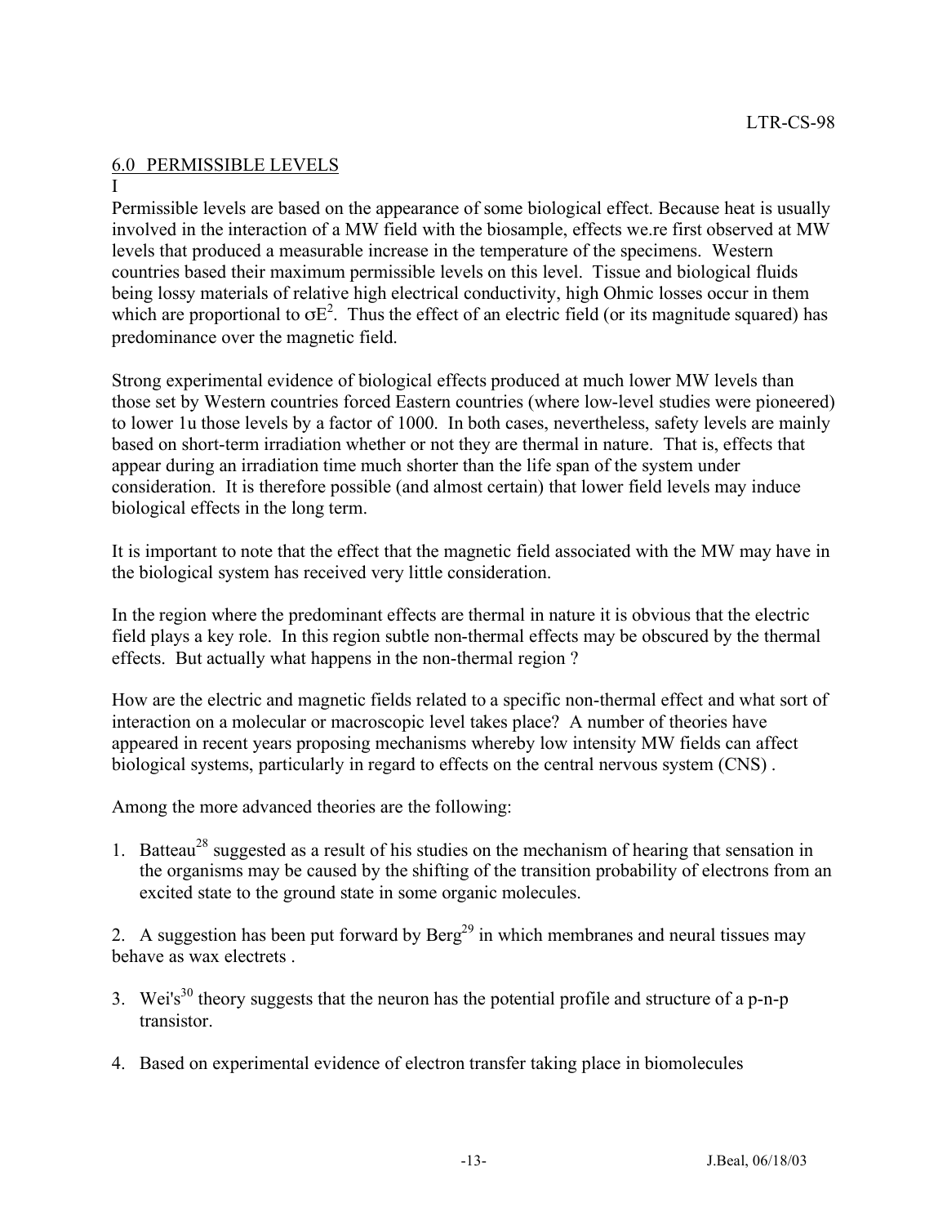# 6.0 PERMISSIBLE LEVELS

#### I

Permissible levels are based on the appearance of some biological effect. Because heat is usually involved in the interaction of a MW field with the biosample, effects we.re first observed at MW levels that produced a measurable increase in the temperature of the specimens. Western countries based their maximum permissible levels on this level. Tissue and biological fluids being lossy materials of relative high electrical conductivity, high Ohmic losses occur in them which are proportional to  $\sigma E^2$ . Thus the effect of an electric field (or its magnitude squared) has predominance over the magnetic field.

Strong experimental evidence of biological effects produced at much lower MW levels than those set by Western countries forced Eastern countries (where low-level studies were pioneered) to lower 1u those levels by a factor of 1000. In both cases, nevertheless, safety levels are mainly based on short-term irradiation whether or not they are thermal in nature. That is, effects that appear during an irradiation time much shorter than the life span of the system under consideration. It is therefore possible (and almost certain) that lower field levels may induce biological effects in the long term.

It is important to note that the effect that the magnetic field associated with the MW may have in the biological system has received very little consideration.

In the region where the predominant effects are thermal in nature it is obvious that the electric field plays a key role. In this region subtle non-thermal effects may be obscured by the thermal effects. But actually what happens in the non-thermal region ?

How are the electric and magnetic fields related to a specific non-thermal effect and what sort of interaction on a molecular or macroscopic level takes place? A number of theories have appeared in recent years proposing mechanisms whereby low intensity MW fields can affect biological systems, particularly in regard to effects on the central nervous system (CNS) .

Among the more advanced theories are the following:

1. Batteau<sup>28</sup> suggested as a result of his studies on the mechanism of hearing that sensation in the organisms may be caused by the shifting of the transition probability of electrons from an excited state to the ground state in some organic molecules.

2. A suggestion has been put forward by  $\text{Berg}^{29}$  in which membranes and neural tissues may behave as wax electrets .

- 3. Wei's<sup>30</sup> theory suggests that the neuron has the potential profile and structure of a p-n-p transistor.
- 4. Based on experimental evidence of electron transfer taking place in biomolecules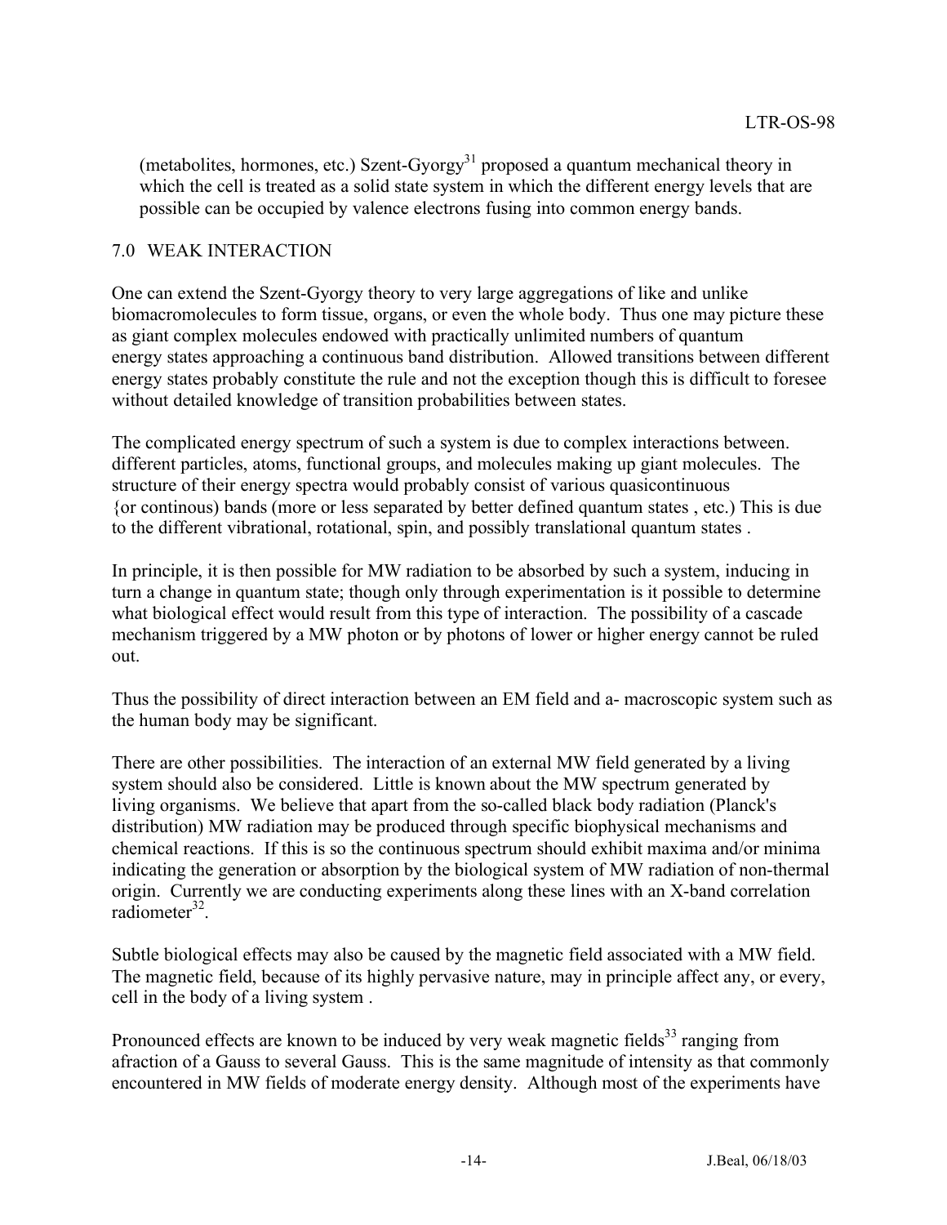(metabolites, hormones, etc.) Szent-Gyorgy<sup>31</sup> proposed a quantum mechanical theory in which the cell is treated as a solid state system in which the different energy levels that are possible can be occupied by valence electrons fusing into common energy bands.

### 7.0 WEAK INTERACTION

One can extend the Szent-Gyorgy theory to very large aggregations of like and unlike biomacromolecules to form tissue, organs, or even the whole body. Thus one may picture these as giant complex molecules endowed with practically unlimited numbers of quantum energy states approaching a continuous band distribution. Allowed transitions between different energy states probably constitute the rule and not the exception though this is difficult to foresee without detailed knowledge of transition probabilities between states.

The complicated energy spectrum of such a system is due to complex interactions between. different particles, atoms, functional groups, and molecules making up giant molecules. The structure of their energy spectra would probably consist of various quasicontinuous {or continous) bands (more or less separated by better defined quantum states , etc.) This is due to the different vibrational, rotational, spin, and possibly translational quantum states .

In principle, it is then possible for MW radiation to be absorbed by such a system, inducing in turn a change in quantum state; though only through experimentation is it possible to determine what biological effect would result from this type of interaction. The possibility of a cascade mechanism triggered by a MW photon or by photons of lower or higher energy cannot be ruled out.

Thus the possibility of direct interaction between an EM field and a- macroscopic system such as the human body may be significant.

There are other possibilities. The interaction of an external MW field generated by a living system should also be considered. Little is known about the MW spectrum generated by living organisms. We believe that apart from the so-called black body radiation (Planck's distribution) MW radiation may be produced through specific biophysical mechanisms and chemical reactions. If this is so the continuous spectrum should exhibit maxima and/or minima indicating the generation or absorption by the biological system of MW radiation of non-thermal origin. Currently we are conducting experiments along these lines with an X-band correlation radiometer<sup>32</sup>.

Subtle biological effects may also be caused by the magnetic field associated with a MW field. The magnetic field, because of its highly pervasive nature, may in principle affect any, or every, cell in the body of a living system .

Pronounced effects are known to be induced by very weak magnetic fields<sup>33</sup> ranging from afraction of a Gauss to several Gauss. This is the same magnitude of intensity as that commonly encountered in MW fields of moderate energy density. Although most of the experiments have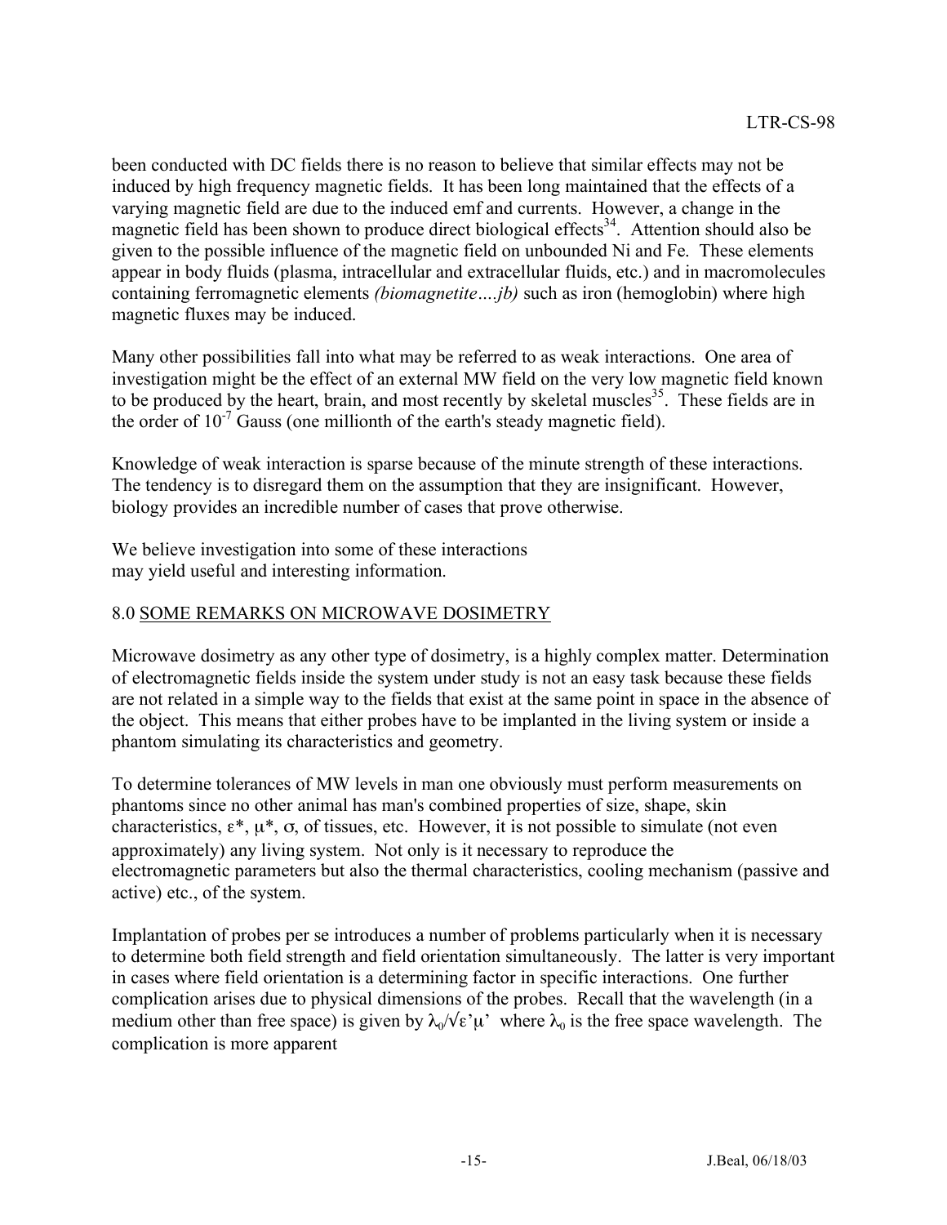been conducted with DC fields there is no reason to believe that similar effects may not be induced by high frequency magnetic fields. It has been long maintained that the effects of a varying magnetic field are due to the induced emf and currents. However, a change in the magnetic field has been shown to produce direct biological effects<sup>34</sup>. Attention should also be given to the possible influence of the magnetic field on unbounded Ni and Fe. These elements appear in body fluids (plasma, intracellular and extracellular fluids, etc.) and in macromolecules containing ferromagnetic elements *(biomagnetite….jb)* such as iron (hemoglobin) where high magnetic fluxes may be induced.

Many other possibilities fall into what may be referred to as weak interactions. One area of investigation might be the effect of an external MW field on the very low magnetic field known to be produced by the heart, brain, and most recently by skeletal muscles<sup>35</sup>. These fields are in the order of  $10^{-7}$  Gauss (one millionth of the earth's steady magnetic field).

Knowledge of weak interaction is sparse because of the minute strength of these interactions. The tendency is to disregard them on the assumption that they are insignificant. However, biology provides an incredible number of cases that prove otherwise.

We believe investigation into some of these interactions may yield useful and interesting information.

## 8.0 SOME REMARKS ON MICROWAVE DOSIMETRY

Microwave dosimetry as any other type of dosimetry, is a highly complex matter. Determination of electromagnetic fields inside the system under study is not an easy task because these fields are not related in a simple way to the fields that exist at the same point in space in the absence of the object. This means that either probes have to be implanted in the living system or inside a phantom simulating its characteristics and geometry.

To determine tolerances of MW levels in man one obviously must perform measurements on phantoms since no other animal has man's combined properties of size, shape, skin characteristics,  $\varepsilon^*$ ,  $\mu^*$ ,  $\sigma$ , of tissues, etc. However, it is not possible to simulate (not even approximately) any living system. Not only is it necessary to reproduce the electromagnetic parameters but also the thermal characteristics, cooling mechanism (passive and active) etc., of the system.

Implantation of probes per se introduces a number of problems particularly when it is necessary to determine both field strength and field orientation simultaneously. The latter is very important in cases where field orientation is a determining factor in specific interactions. One further complication arises due to physical dimensions of the probes. Recall that the wavelength (in a medium other than free space) is given by  $\lambda_0/\sqrt{\epsilon} \mu$  where  $\lambda_0$  is the free space wavelength. The complication is more apparent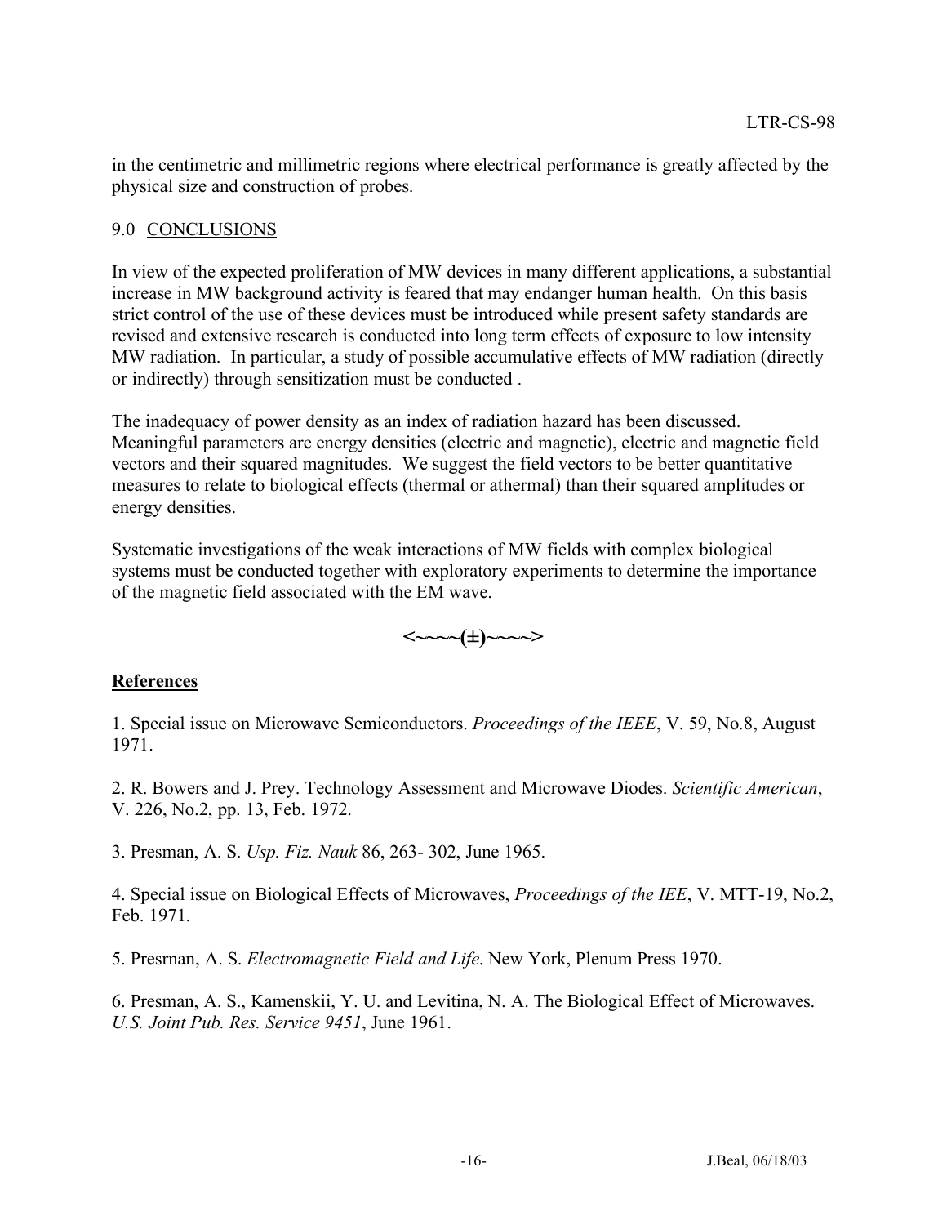in the centimetric and millimetric regions where electrical performance is greatly affected by the physical size and construction of probes.

#### 9.0 CONCLUSIONS

In view of the expected proliferation of MW devices in many different applications, a substantial increase in MW background activity is feared that may endanger human health. On this basis strict control of the use of these devices must be introduced while present safety standards are revised and extensive research is conducted into long term effects of exposure to low intensity MW radiation. In particular, a study of possible accumulative effects of MW radiation (directly or indirectly) through sensitization must be conducted .

The inadequacy of power density as an index of radiation hazard has been discussed. Meaningful parameters are energy densities (electric and magnetic), electric and magnetic field vectors and their squared magnitudes. We suggest the field vectors to be better quantitative measures to relate to biological effects (thermal or athermal) than their squared amplitudes or energy densities.

Systematic investigations of the weak interactions of MW fields with complex biological systems must be conducted together with exploratory experiments to determine the importance of the magnetic field associated with the EM wave.



## **References**

1. Special issue on Microwave Semiconductors. *Proceedings of the IEEE*, V. 59, No.8, August 1971.

2. R. Bowers and J. Prey. Technology Assessment and Microwave Diodes. *Scientific American*, V. 226, No.2, pp. 13, Feb. 1972.

3. Presman, A. S. *Usp. Fiz. Nauk* 86, 263- 302, June 1965.

4. Special issue on Biological Effects of Microwaves, *Proceedings of the IEE*, V. MTT-19, No.2, Feb. 1971.

5. Presrnan, A. S. *Electromagnetic Field and Life*. New York, Plenum Press 1970.

6. Presman, A. S., Kamenskii, Y. U. and Levitina, N. A. The Biological Effect of Microwaves. *U.S. Joint Pub. Res. Service 9451*, June 1961.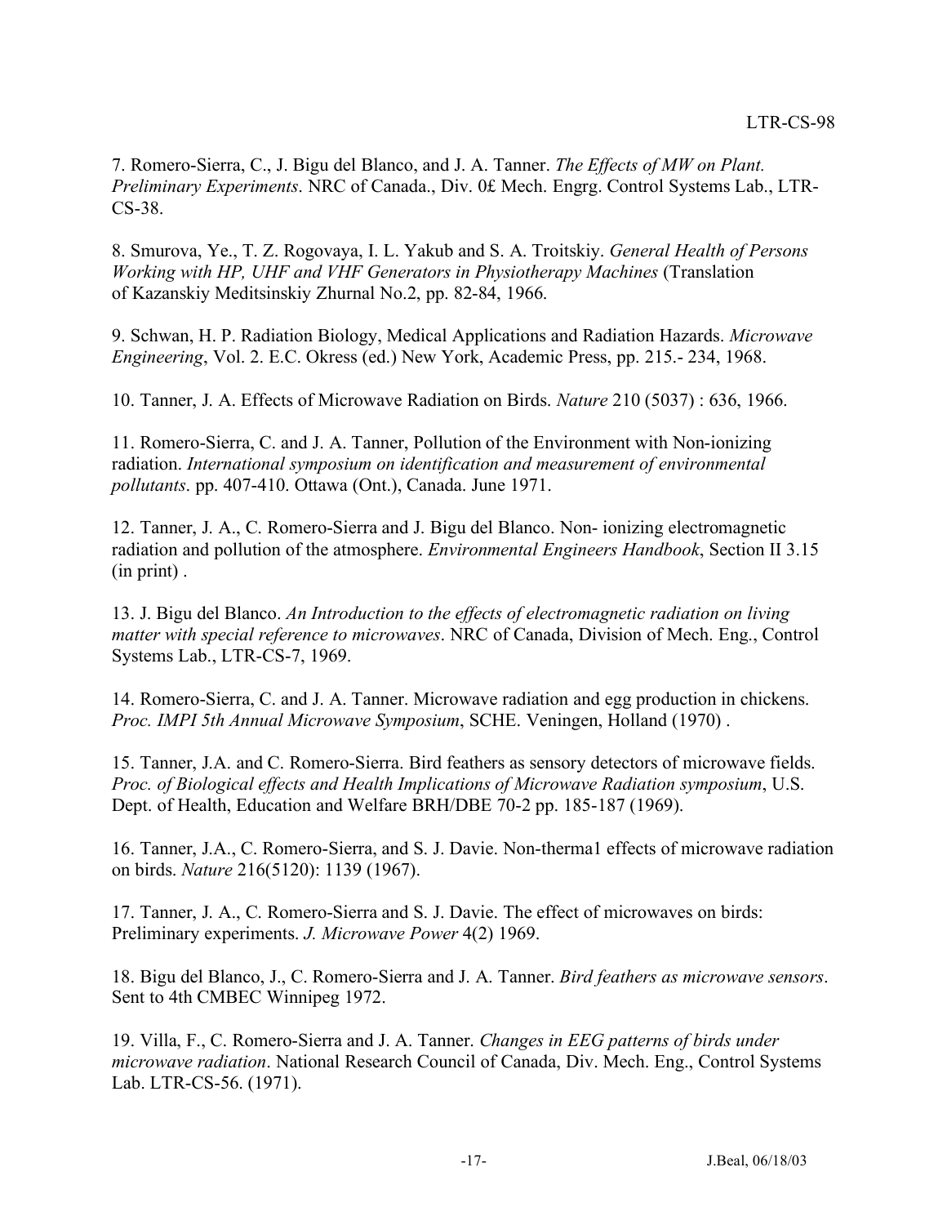7. Romero-Sierra, C., J. Bigu del Blanco, and J. A. Tanner. *The Effects of MW on Plant. Preliminary Experiments*. NRC of Canada., Div. 0£ Mech. Engrg. Control Systems Lab., LTR-CS-38.

8. Smurova, Ye., T. Z. Rogovaya, I. L. Yakub and S. A. Troitskiy. *General Health of Persons Working with HP, UHF and VHF Generators in Physiotherapy Machines* (Translation of Kazanskiy Meditsinskiy Zhurnal No.2, pp. 82-84, 1966.

9. Schwan, H. P. Radiation Biology, Medical Applications and Radiation Hazards. *Microwave Engineering*, Vol. 2. E.C. Okress (ed.) New York, Academic Press, pp. 215.- 234, 1968.

10. Tanner, J. A. Effects of Microwave Radiation on Birds. *Nature* 210 (5037) : 636, 1966.

11. Romero-Sierra, C. and J. A. Tanner, Pollution of the Environment with Non-ionizing radiation. *International symposium on identification and measurement of environmental pollutants*. pp. 407-410. Ottawa (Ont.), Canada. June 1971.

12. Tanner, J. A., C. Romero-Sierra and J. Bigu del Blanco. Non- ionizing electromagnetic radiation and pollution of the atmosphere. *Environmental Engineers Handbook*, Section II 3.15 (in print) .

13. J. Bigu del Blanco. *An Introduction to the effects of electromagnetic radiation on living matter with special reference to microwaves*. NRC of Canada, Division of Mech. Eng., Control Systems Lab., LTR-CS-7, 1969.

14. Romero-Sierra, C. and J. A. Tanner. Microwave radiation and egg production in chickens. *Proc. IMPI 5th Annual Microwave Symposium*, SCHE. Veningen, Holland (1970) .

15. Tanner, J.A. and C. Romero-Sierra. Bird feathers as sensory detectors of microwave fields. *Proc. of Biological effects and Health Implications of Microwave Radiation symposium*, U.S. Dept. of Health, Education and Welfare BRH/DBE 70-2 pp. 185-187 (1969).

16. Tanner, J.A., C. Romero-Sierra, and S. J. Davie. Non-therma1 effects of microwave radiation on birds. *Nature* 216(5120): 1139 (1967).

17. Tanner, J. A., C. Romero-Sierra and S. J. Davie. The effect of microwaves on birds: Preliminary experiments. *J. Microwave Power* 4(2) 1969.

18. Bigu del Blanco, J., C. Romero-Sierra and J. A. Tanner. *Bird feathers as microwave sensors*. Sent to 4th CMBEC Winnipeg 1972.

19. Villa, F., C. Romero-Sierra and J. A. Tanner. *Changes in EEG patterns of birds under microwave radiation*. National Research Council of Canada, Div. Mech. Eng., Control Systems Lab. LTR-CS-56. (1971).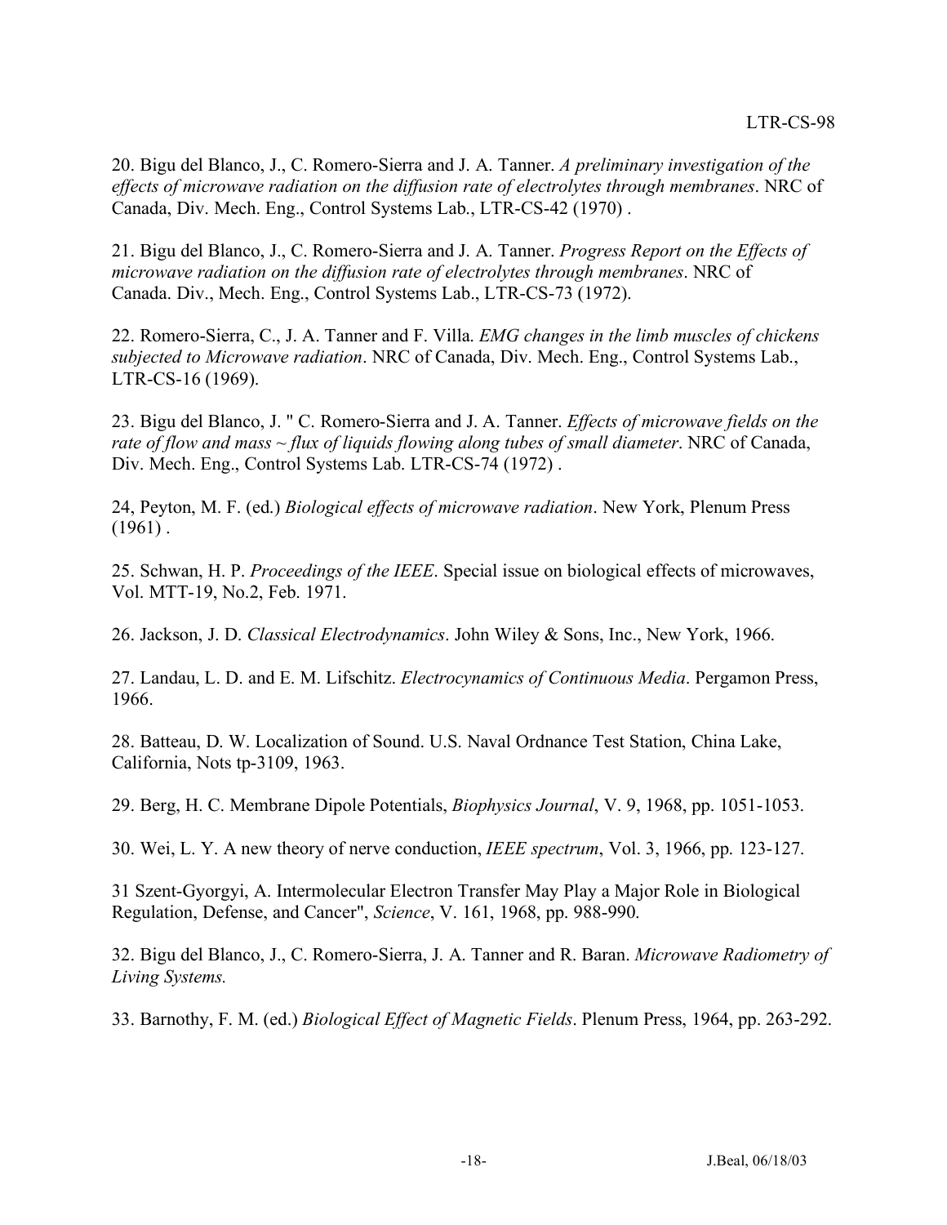20. Bigu del Blanco, J., C. Romero-Sierra and J. A. Tanner. *A preliminary investigation of the effects of microwave radiation on the diffusion rate of electrolytes through membranes*. NRC of Canada, Div. Mech. Eng., Control Systems Lab., LTR-CS-42 (1970) .

21. Bigu del Blanco, J., C. Romero-Sierra and J. A. Tanner. *Progress Report on the Effects of microwave radiation on the diffusion rate of electrolytes through membranes*. NRC of Canada. Div., Mech. Eng., Control Systems Lab., LTR-CS-73 (1972).

22. Romero-Sierra, C., J. A. Tanner and F. Villa. *EMG changes in the limb muscles of chickens subjected to Microwave radiation*. NRC of Canada, Div. Mech. Eng., Control Systems Lab., LTR-CS-16 (1969).

23. Bigu del Blanco, J. " C. Romero-Sierra and J. A. Tanner. *Effects of microwave fields on the rate of flow and mass ~ flux of liquids flowing along tubes of small diameter*. NRC of Canada, Div. Mech. Eng., Control Systems Lab. LTR-CS-74 (1972) .

24, Peyton, M. F. (ed.) *Biological effects of microwave radiation*. New York, Plenum Press  $(1961)$ .

25. Schwan, H. P. *Proceedings of the IEEE*. Special issue on biological effects of microwaves, Vol. MTT-19, No.2, Feb. 1971.

26. Jackson, J. D. *Classical Electrodynamics*. John Wiley & Sons, Inc., New York, 1966.

27. Landau, L. D. and E. M. Lifschitz. *Electrocynamics of Continuous Media*. Pergamon Press, 1966.

28. Batteau, D. W. Localization of Sound. U.S. Naval Ordnance Test Station, China Lake, California, Nots tp-3109, 1963.

29. Berg, H. C. Membrane Dipole Potentials, *Biophysics Journal*, V. 9, 1968, pp. 1051-1053.

30. Wei, L. Y. A new theory of nerve conduction, *IEEE spectrum*, Vol. 3, 1966, pp. 123-127.

31 Szent-Gyorgyi, A. Intermolecular Electron Transfer May Play a Major Role in Biological Regulation, Defense, and Cancer", *Science*, V. 161, 1968, pp. 988-990.

32. Bigu del Blanco, J., C. Romero-Sierra, J. A. Tanner and R. Baran. *Microwave Radiometry of Living Systems.*

33. Barnothy, F. M. (ed.) *Biological Effect of Magnetic Fields*. Plenum Press, 1964, pp. 263-292.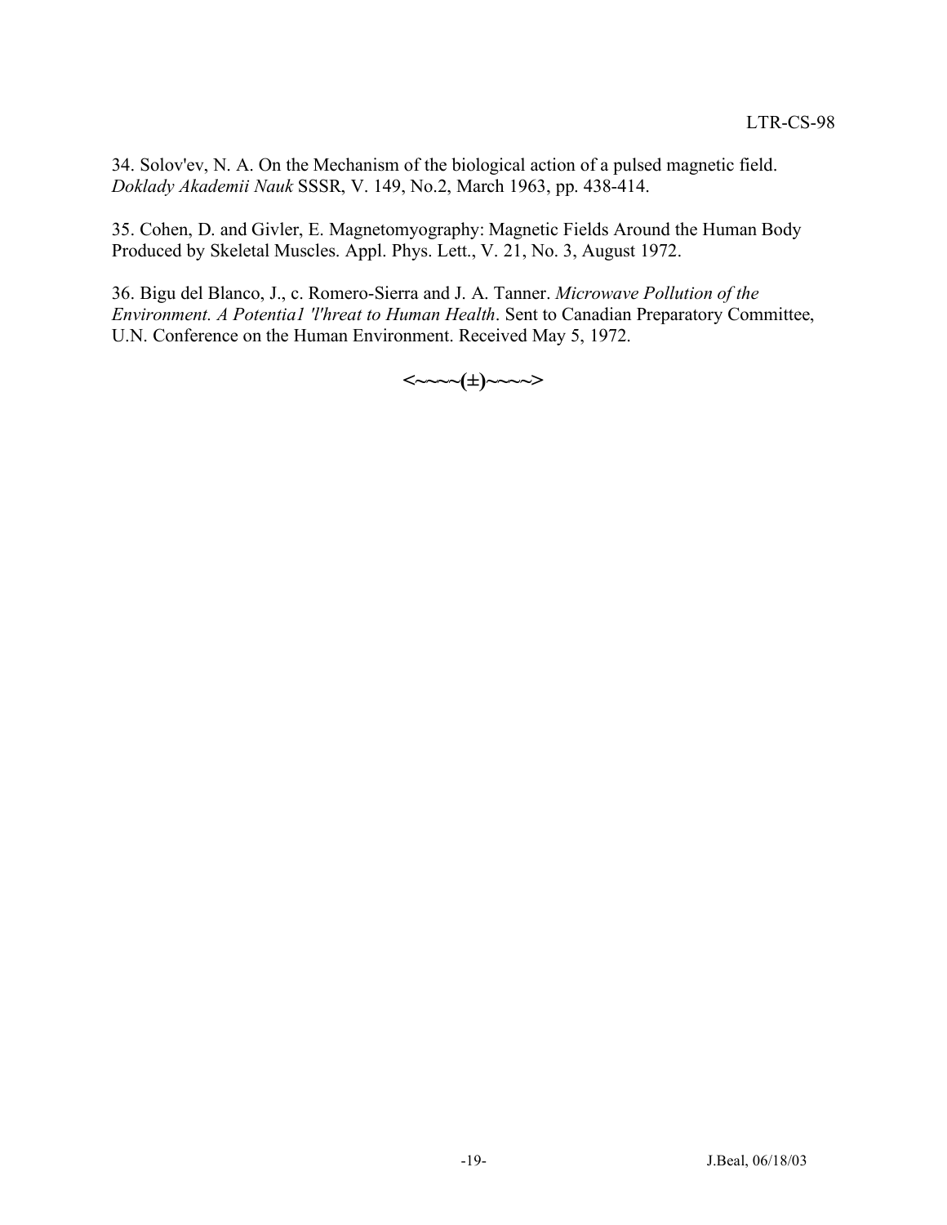34. Solov'ev, N. A. On the Mechanism of the biological action of a pulsed magnetic field. *Doklady Akademii Nauk* SSSR, V. 149, No.2, March 1963, pp. 438-414.

35. Cohen, D. and Givler, E. Magnetomyography: Magnetic Fields Around the Human Body Produced by Skeletal Muscles. Appl. Phys. Lett., V. 21, No. 3, August 1972.

36. Bigu del Blanco, J., c. Romero-Sierra and J. A. Tanner. *Microwave Pollution of the Environment. A Potentia1 'l'hreat to Human Health*. Sent to Canadian Preparatory Committee, U.N. Conference on the Human Environment. Received May 5, 1972.

**<~~~~(±)~~~~>**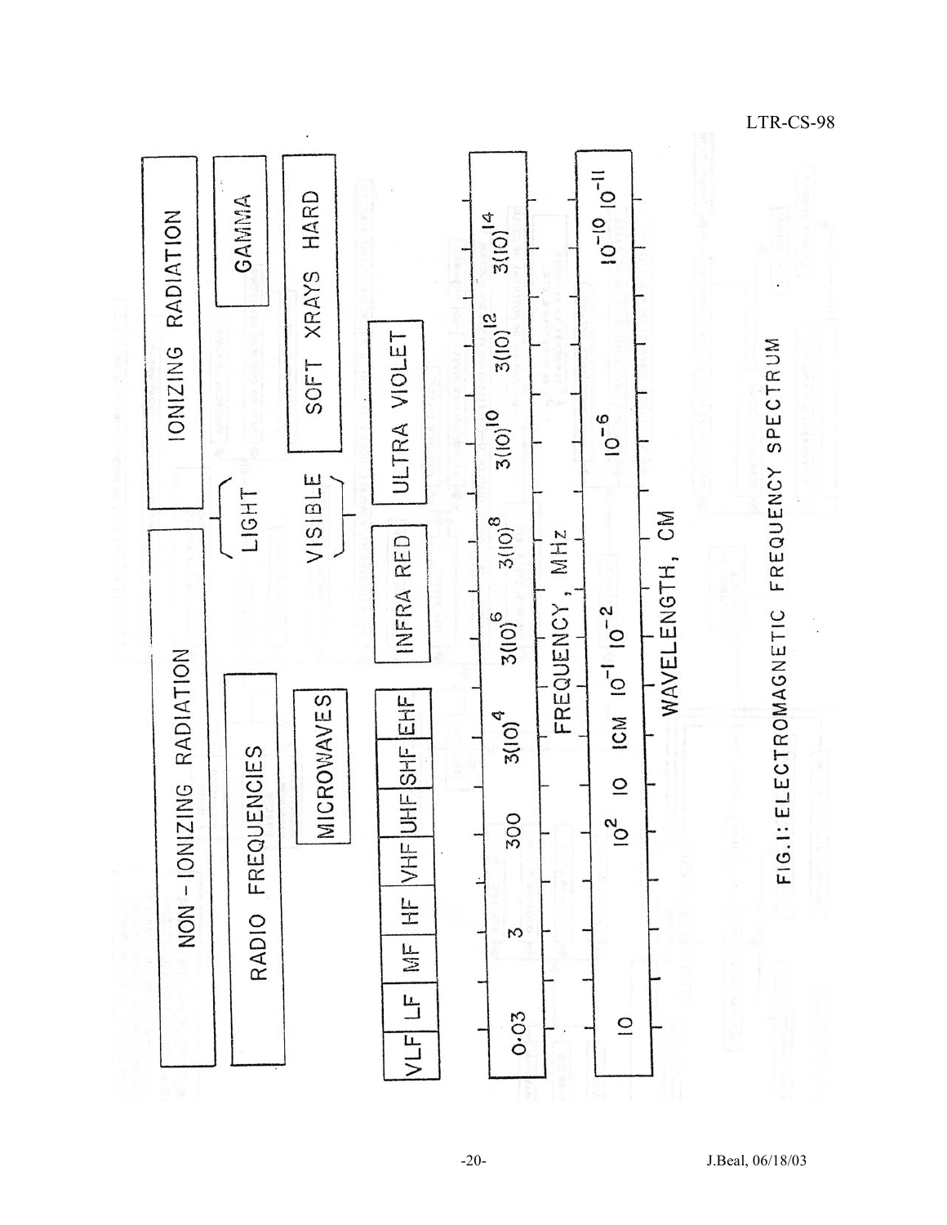

LTR-CS-98